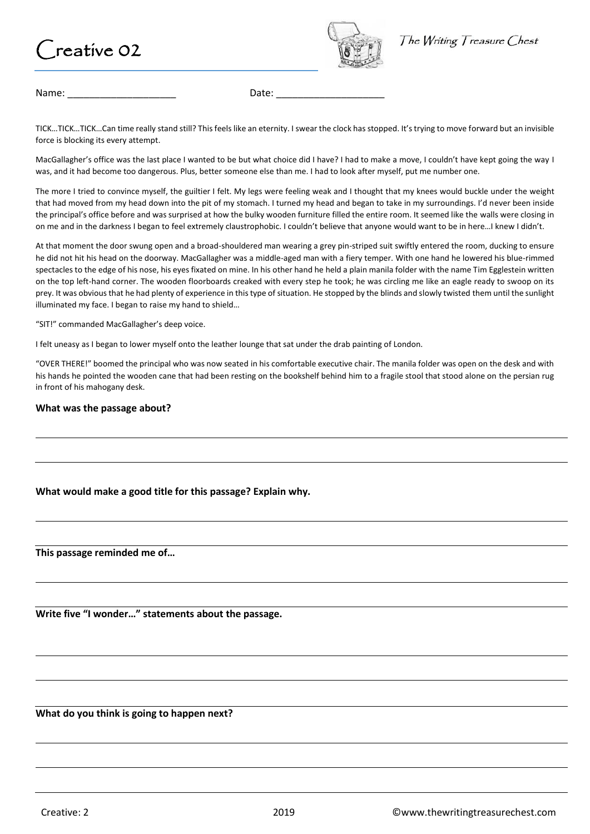## $r$ reative 02



Name: \_\_\_\_\_\_\_\_\_\_\_\_\_\_\_\_\_\_\_\_ Date: \_\_\_\_\_\_\_\_\_\_\_\_\_\_\_\_\_\_\_\_

TICK…TICK…TICK…Can time really stand still? This feels like an eternity. I swear the clock has stopped. It's trying to move forward but an invisible force is blocking its every attempt.

MacGallagher's office was the last place I wanted to be but what choice did I have? I had to make a move, I couldn't have kept going the way I was, and it had become too dangerous. Plus, better someone else than me. I had to look after myself, put me number one.

The more I tried to convince myself, the guiltier I felt. My legs were feeling weak and I thought that my knees would buckle under the weight that had moved from my head down into the pit of my stomach. I turned my head and began to take in my surroundings. I'd never been inside the principal's office before and was surprised at how the bulky wooden furniture filled the entire room. It seemed like the walls were closing in on me and in the darkness I began to feel extremely claustrophobic. I couldn't believe that anyone would want to be in here…I knew I didn't.

At that moment the door swung open and a broad-shouldered man wearing a grey pin-striped suit swiftly entered the room, ducking to ensure he did not hit his head on the doorway. MacGallagher was a middle-aged man with a fiery temper. With one hand he lowered his blue-rimmed spectacles to the edge of his nose, his eyes fixated on mine. In his other hand he held a plain manila folder with the name Tim Egglestein written on the top left-hand corner. The wooden floorboards creaked with every step he took; he was circling me like an eagle ready to swoop on its prey. It was obvious that he had plenty of experience in this type of situation. He stopped by the blinds and slowly twisted them until the sunlight illuminated my face. I began to raise my hand to shield…

"SIT!" commanded MacGallagher's deep voice.

I felt uneasy as I began to lower myself onto the leather lounge that sat under the drab painting of London.

"OVER THERE!" boomed the principal who was now seated in his comfortable executive chair. The manila folder was open on the desk and with his hands he pointed the wooden cane that had been resting on the bookshelf behind him to a fragile stool that stood alone on the persian rug in front of his mahogany desk.

## **What was the passage about?**

## **What would make a good title for this passage? Explain why.**

**This passage reminded me of…**

**Write five "I wonder…" statements about the passage.**

**What do you think is going to happen next?**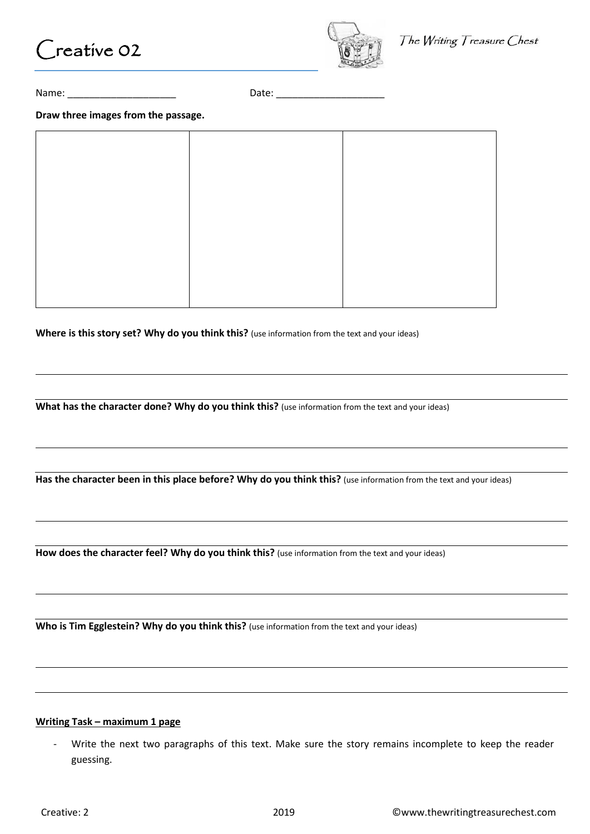



The Writing Treasure Chest

Name: \_\_\_\_\_\_\_\_\_\_\_\_\_\_\_\_\_\_\_\_ Date: \_\_\_\_\_\_\_\_\_\_\_\_\_\_\_\_\_\_\_\_

**Draw three images from the passage.**

**Where is this story set? Why do you think this?** (use information from the text and your ideas)

**What has the character done? Why do you think this?** (use information from the text and your ideas)

Has the character been in this place before? Why do you think this? (use information from the text and your ideas)

How does the character feel? Why do you think this? (use information from the text and your ideas)

Who is Tim Egglestein? Why do you think this? (use information from the text and your ideas)

## **Writing Task – maximum 1 page**

Write the next two paragraphs of this text. Make sure the story remains incomplete to keep the reader guessing.